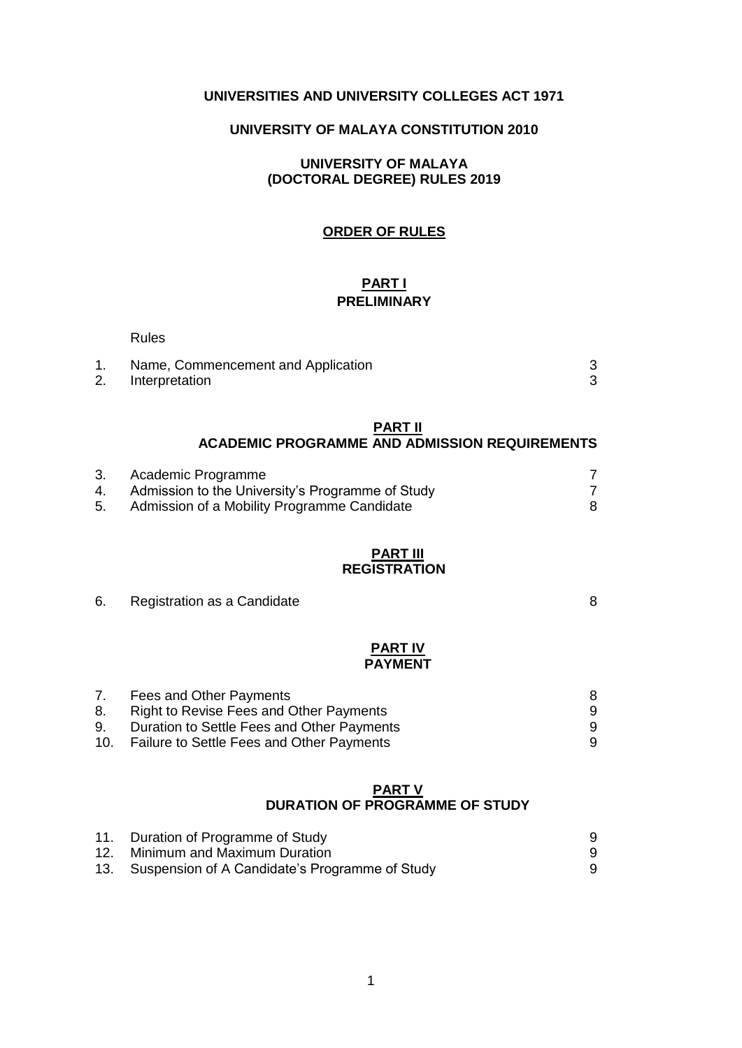# **UNIVERSITIES AND UNIVERSITY COLLEGES ACT 1971**

# **UNIVERSITY OF MALAYA CONSTITUTION 2010**

### **UNIVERSITY OF MALAYA (DOCTORAL DEGREE) RULES 2019**

## **ORDER OF RULES**

### **PART I PRELIMINARY**

|                | <b>Rules</b>                                                                                                          |        |
|----------------|-----------------------------------------------------------------------------------------------------------------------|--------|
| 1.<br>2.       | Name, Commencement and Application<br>Interpretation                                                                  | 3<br>3 |
|                | PART II<br><b>ACADEMIC PROGRAMME AND ADMISSION REQUIREMENTS</b>                                                       |        |
| 3.<br>4.<br>5. | Academic Programme<br>Admission to the University's Programme of Study<br>Admission of a Mobility Programme Candidate | 7<br>8 |
|                | <b>PART III</b><br><b>REGISTRATION</b>                                                                                |        |
| 6.             | Registration as a Candidate                                                                                           | 8      |

### **PART IV PAYMENT**

| 7.  | Fees and Other Payments                    | 8 |
|-----|--------------------------------------------|---|
| 8.  | Right to Revise Fees and Other Payments    |   |
| 9.  | Duration to Settle Fees and Other Payments | 9 |
| 10. | Failure to Settle Fees and Other Payments  | 9 |

#### **PART V DURATION OF PROGRAMME OF STUDY**

| 11. Duration of Programme of Study                 |  |
|----------------------------------------------------|--|
| 12. Minimum and Maximum Duration                   |  |
| 13. Suspension of A Candidate's Programme of Study |  |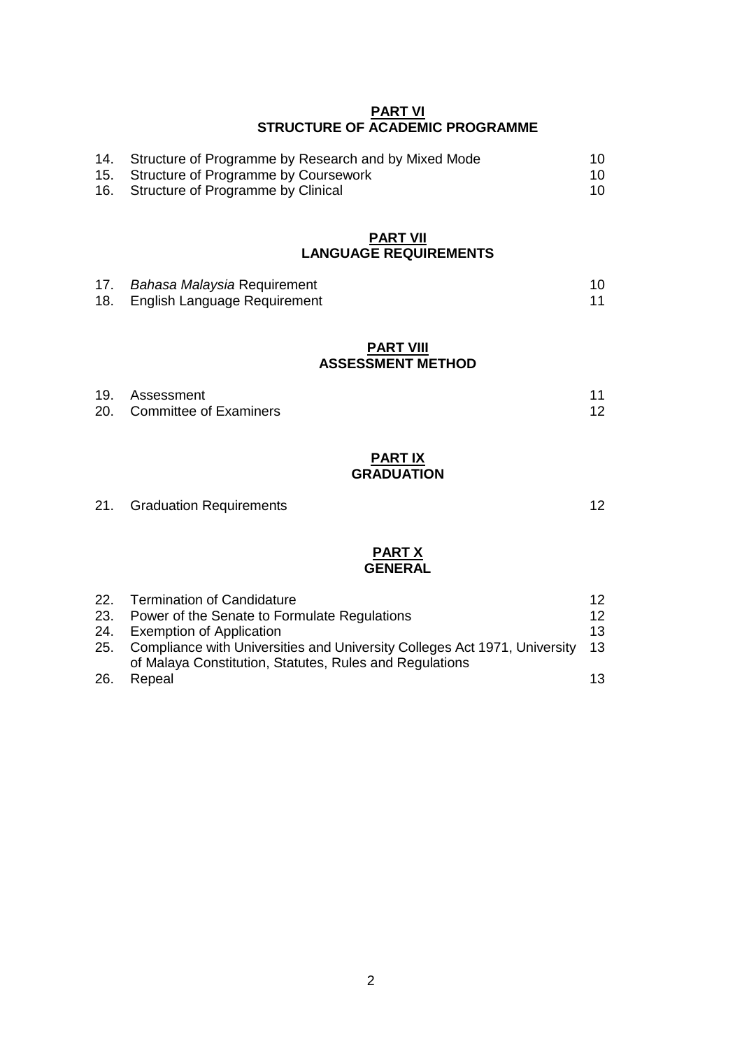#### **PART VI STRUCTURE OF ACADEMIC PROGRAMME**

| 14. Structure of Programme by Research and by Mixed Mode |  |
|----------------------------------------------------------|--|
| 15. Structure of Programme by Coursework                 |  |
| 16. Structure of Programme by Clinical                   |  |

#### **PART VII LANGUAGE REQUIREMENTS**

| 17. | <i>Bahasa Malaysia</i> Requirement |  |
|-----|------------------------------------|--|
|     | 18. English Language Requirement   |  |

#### **PART VIII ASSESSMENT METHOD**

| 19. Assessment             | 11 |
|----------------------------|----|
| 20. Committee of Examiners | 12 |

## **PART IX GRADUATION**

# 21. Graduation Requirements 21. Settlements 21. Settlements 21. Settlements 20. 12

### **PART X GENERAL**

|      | 22. Termination of Candidature                                                                                                       | 12   |
|------|--------------------------------------------------------------------------------------------------------------------------------------|------|
| 23.  | Power of the Senate to Formulate Regulations                                                                                         | 12   |
| 24.  | <b>Exemption of Application</b>                                                                                                      | 13   |
| 25.  | Compliance with Universities and University Colleges Act 1971, University<br>of Malaya Constitution, Statutes, Rules and Regulations | - 13 |
| -26. | Repeal                                                                                                                               | 13   |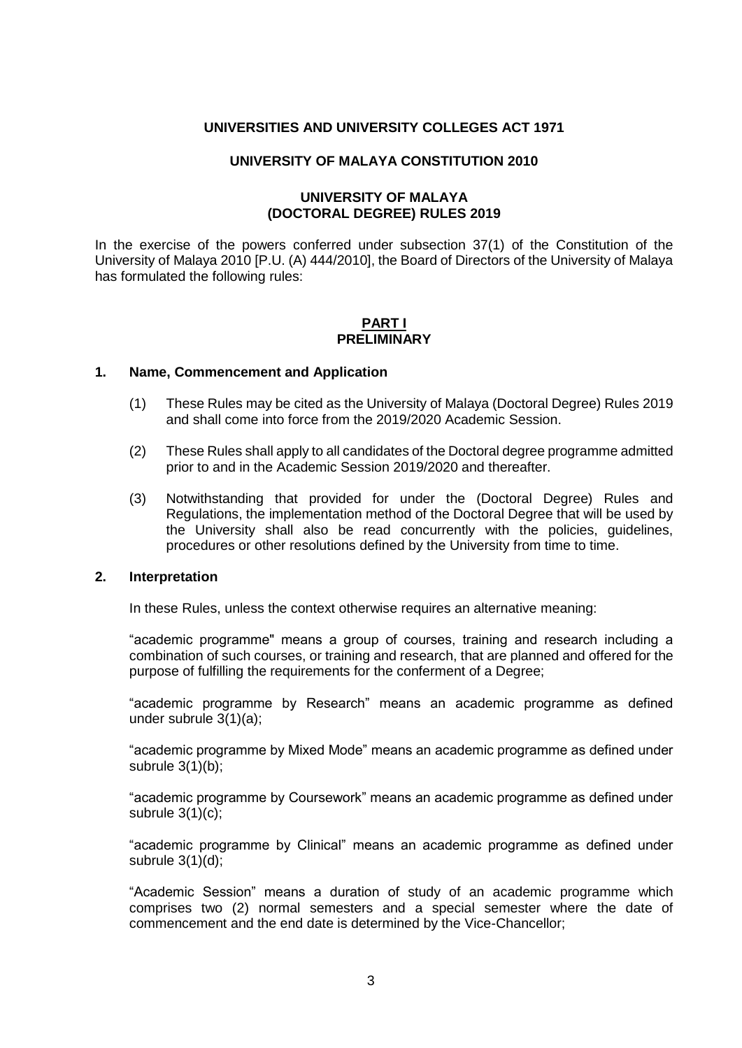#### **UNIVERSITIES AND UNIVERSITY COLLEGES ACT 1971**

#### **UNIVERSITY OF MALAYA CONSTITUTION 2010**

### **UNIVERSITY OF MALAYA (DOCTORAL DEGREE) RULES 2019**

In the exercise of the powers conferred under subsection 37(1) of the Constitution of the University of Malaya 2010 [P.U. (A) 444/2010], the Board of Directors of the University of Malaya has formulated the following rules:

#### **PART I PRELIMINARY**

#### **1. Name, Commencement and Application**

- (1) These Rules may be cited as the University of Malaya (Doctoral Degree) Rules 2019 and shall come into force from the 2019/2020 Academic Session.
- (2) These Rules shall apply to all candidates of the Doctoral degree programme admitted prior to and in the Academic Session 2019/2020 and thereafter.
- (3) Notwithstanding that provided for under the (Doctoral Degree) Rules and Regulations, the implementation method of the Doctoral Degree that will be used by the University shall also be read concurrently with the policies, guidelines, procedures or other resolutions defined by the University from time to time.

#### **2. Interpretation**

In these Rules, unless the context otherwise requires an alternative meaning:

"academic programme" means a group of courses, training and research including a combination of such courses, or training and research, that are planned and offered for the purpose of fulfilling the requirements for the conferment of a Degree;

"academic programme by Research" means an academic programme as defined under subrule 3(1)(a);

"academic programme by Mixed Mode" means an academic programme as defined under subrule 3(1)(b);

"academic programme by Coursework" means an academic programme as defined under subrule  $3(1)(c)$ ;

"academic programme by Clinical" means an academic programme as defined under subrule 3(1)(d);

"Academic Session" means a duration of study of an academic programme which comprises two (2) normal semesters and a special semester where the date of commencement and the end date is determined by the Vice-Chancellor;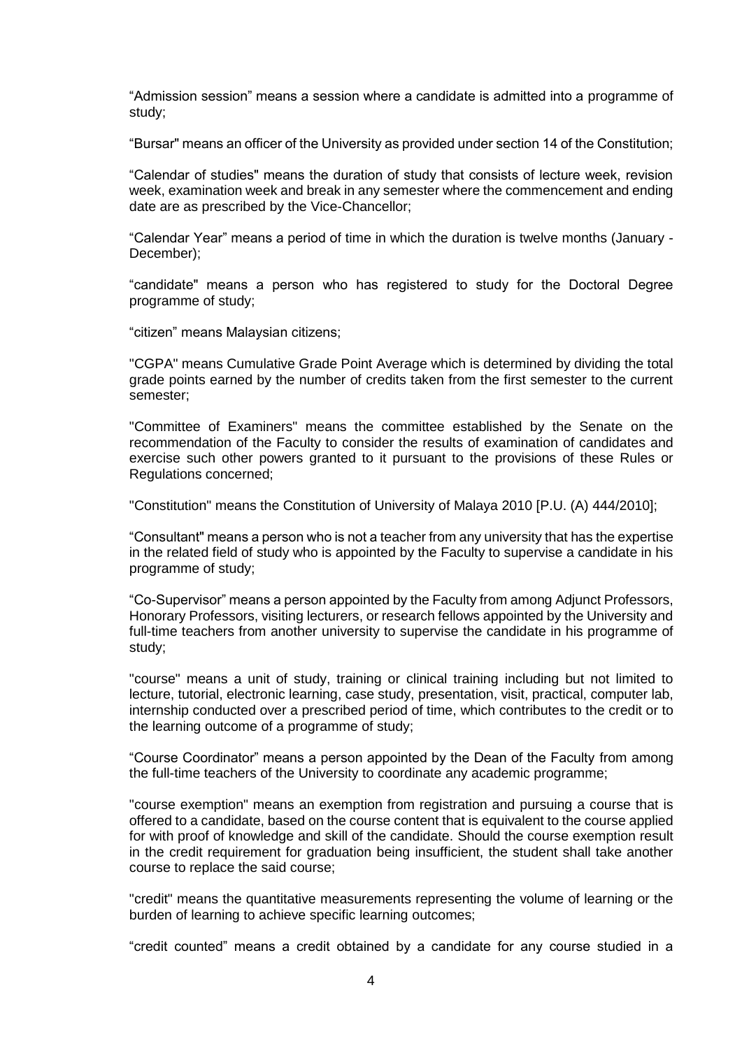"Admission session" means a session where a candidate is admitted into a programme of study;

"Bursar" means an officer of the University as provided under section 14 of the Constitution;

"Calendar of studies" means the duration of study that consists of lecture week, revision week, examination week and break in any semester where the commencement and ending date are as prescribed by the Vice-Chancellor;

"Calendar Year" means a period of time in which the duration is twelve months (January - December);

"candidate" means a person who has registered to study for the Doctoral Degree programme of study;

"citizen" means Malaysian citizens;

"CGPA" means Cumulative Grade Point Average which is determined by dividing the total grade points earned by the number of credits taken from the first semester to the current semester;

"Committee of Examiners" means the committee established by the Senate on the recommendation of the Faculty to consider the results of examination of candidates and exercise such other powers granted to it pursuant to the provisions of these Rules or Regulations concerned;

"Constitution" means the Constitution of University of Malaya 2010 [P.U. (A) 444/2010];

"Consultant" means a person who is not a teacher from any university that has the expertise in the related field of study who is appointed by the Faculty to supervise a candidate in his programme of study;

"Co-Supervisor" means a person appointed by the Faculty from among Adjunct Professors, Honorary Professors, visiting lecturers, or research fellows appointed by the University and full-time teachers from another university to supervise the candidate in his programme of study;

"course" means a unit of study, training or clinical training including but not limited to lecture, tutorial, electronic learning, case study, presentation, visit, practical, computer lab, internship conducted over a prescribed period of time, which contributes to the credit or to the learning outcome of a programme of study;

"Course Coordinator" means a person appointed by the Dean of the Faculty from among the full-time teachers of the University to coordinate any academic programme;

"course exemption" means an exemption from registration and pursuing a course that is offered to a candidate, based on the course content that is equivalent to the course applied for with proof of knowledge and skill of the candidate. Should the course exemption result in the credit requirement for graduation being insufficient, the student shall take another course to replace the said course;

"credit" means the quantitative measurements representing the volume of learning or the burden of learning to achieve specific learning outcomes;

"credit counted" means a credit obtained by a candidate for any course studied in a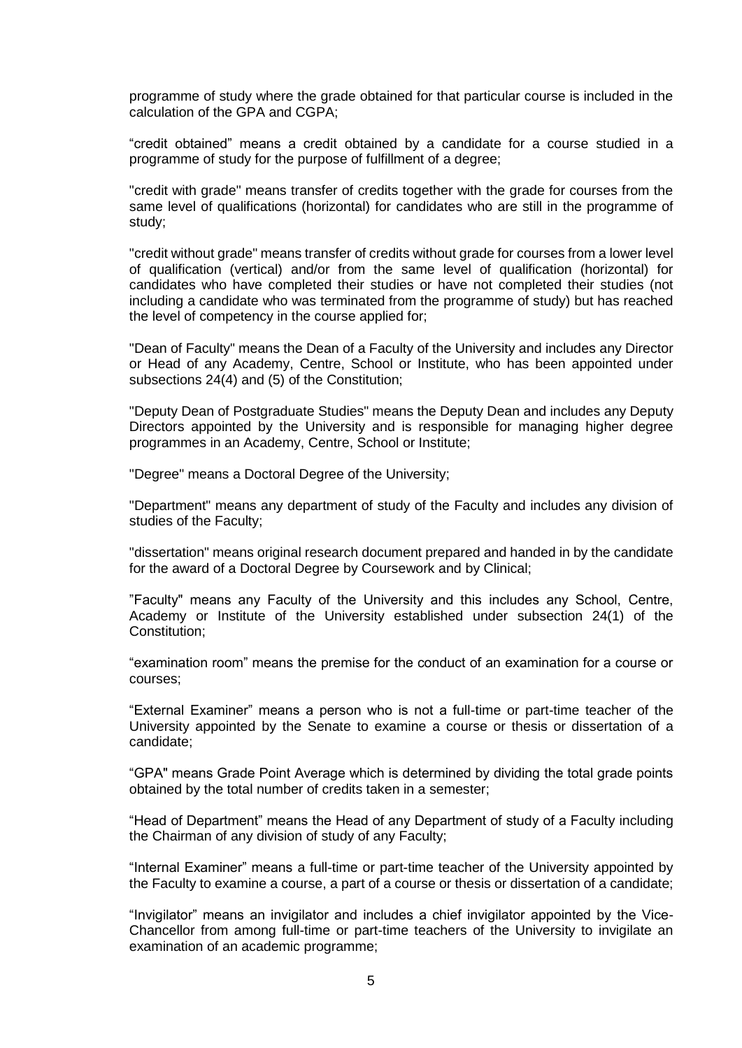programme of study where the grade obtained for that particular course is included in the calculation of the GPA and CGPA;

"credit obtained" means a credit obtained by a candidate for a course studied in a programme of study for the purpose of fulfillment of a degree;

"credit with grade" means transfer of credits together with the grade for courses from the same level of qualifications (horizontal) for candidates who are still in the programme of study;

"credit without grade" means transfer of credits without grade for courses from a lower level of qualification (vertical) and/or from the same level of qualification (horizontal) for candidates who have completed their studies or have not completed their studies (not including a candidate who was terminated from the programme of study) but has reached the level of competency in the course applied for;

"Dean of Faculty" means the Dean of a Faculty of the University and includes any Director or Head of any Academy, Centre, School or Institute, who has been appointed under subsections 24(4) and (5) of the Constitution;

"Deputy Dean of Postgraduate Studies" means the Deputy Dean and includes any Deputy Directors appointed by the University and is responsible for managing higher degree programmes in an Academy, Centre, School or Institute;

"Degree" means a Doctoral Degree of the University;

"Department" means any department of study of the Faculty and includes any division of studies of the Faculty;

"dissertation" means original research document prepared and handed in by the candidate for the award of a Doctoral Degree by Coursework and by Clinical;

"Faculty" means any Faculty of the University and this includes any School, Centre, Academy or Institute of the University established under subsection 24(1) of the Constitution;

"examination room" means the premise for the conduct of an examination for a course or courses;

"External Examiner" means a person who is not a full-time or part-time teacher of the University appointed by the Senate to examine a course or thesis or dissertation of a candidate;

"GPA" means Grade Point Average which is determined by dividing the total grade points obtained by the total number of credits taken in a semester;

"Head of Department" means the Head of any Department of study of a Faculty including the Chairman of any division of study of any Faculty;

"Internal Examiner" means a full-time or part-time teacher of the University appointed by the Faculty to examine a course, a part of a course or thesis or dissertation of a candidate;

"Invigilator" means an invigilator and includes a chief invigilator appointed by the Vice-Chancellor from among full-time or part-time teachers of the University to invigilate an examination of an academic programme;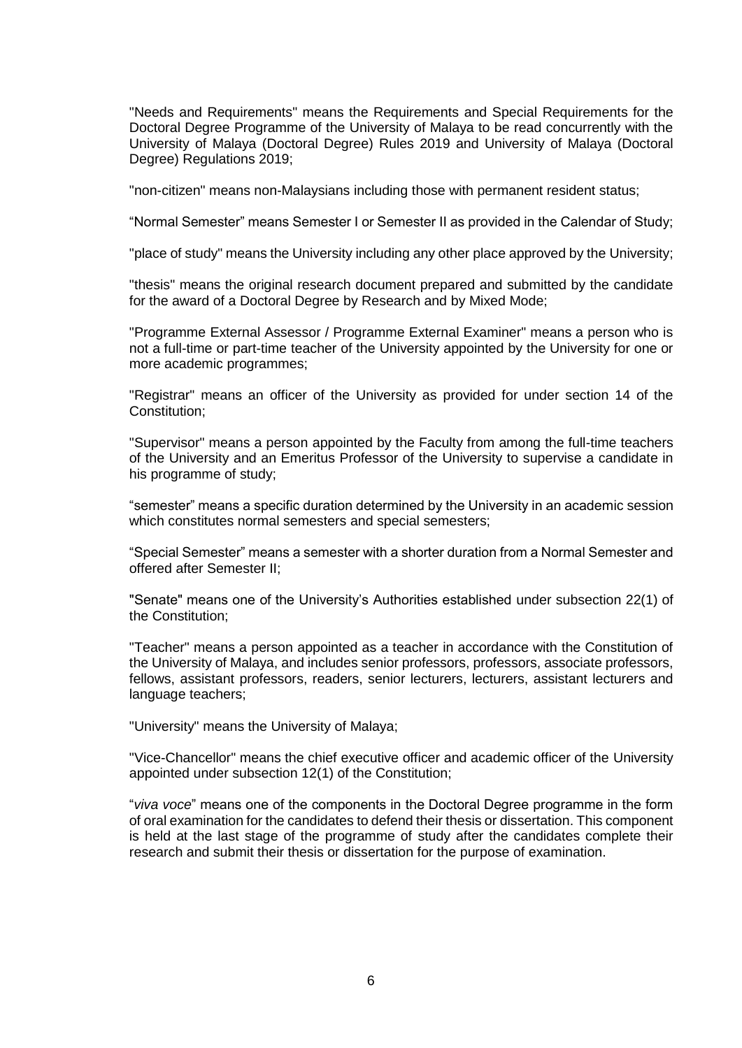"Needs and Requirements" means the Requirements and Special Requirements for the Doctoral Degree Programme of the University of Malaya to be read concurrently with the University of Malaya (Doctoral Degree) Rules 2019 and University of Malaya (Doctoral Degree) Regulations 2019;

"non-citizen" means non-Malaysians including those with permanent resident status;

"Normal Semester" means Semester I or Semester II as provided in the Calendar of Study;

"place of study" means the University including any other place approved by the University;

"thesis" means the original research document prepared and submitted by the candidate for the award of a Doctoral Degree by Research and by Mixed Mode;

"Programme External Assessor / Programme External Examiner" means a person who is not a full-time or part-time teacher of the University appointed by the University for one or more academic programmes;

"Registrar" means an officer of the University as provided for under section 14 of the Constitution;

"Supervisor" means a person appointed by the Faculty from among the full-time teachers of the University and an Emeritus Professor of the University to supervise a candidate in his programme of study;

"semester" means a specific duration determined by the University in an academic session which constitutes normal semesters and special semesters;

"Special Semester" means a semester with a shorter duration from a Normal Semester and offered after Semester II;

"Senate" means one of the University's Authorities established under subsection 22(1) of the Constitution;

"Teacher" means a person appointed as a teacher in accordance with the Constitution of the University of Malaya, and includes senior professors, professors, associate professors, fellows, assistant professors, readers, senior lecturers, lecturers, assistant lecturers and language teachers;

"University" means the University of Malaya;

"Vice-Chancellor" means the chief executive officer and academic officer of the University appointed under subsection 12(1) of the Constitution;

"*viva voce*" means one of the components in the Doctoral Degree programme in the form of oral examination for the candidates to defend their thesis or dissertation. This component is held at the last stage of the programme of study after the candidates complete their research and submit their thesis or dissertation for the purpose of examination.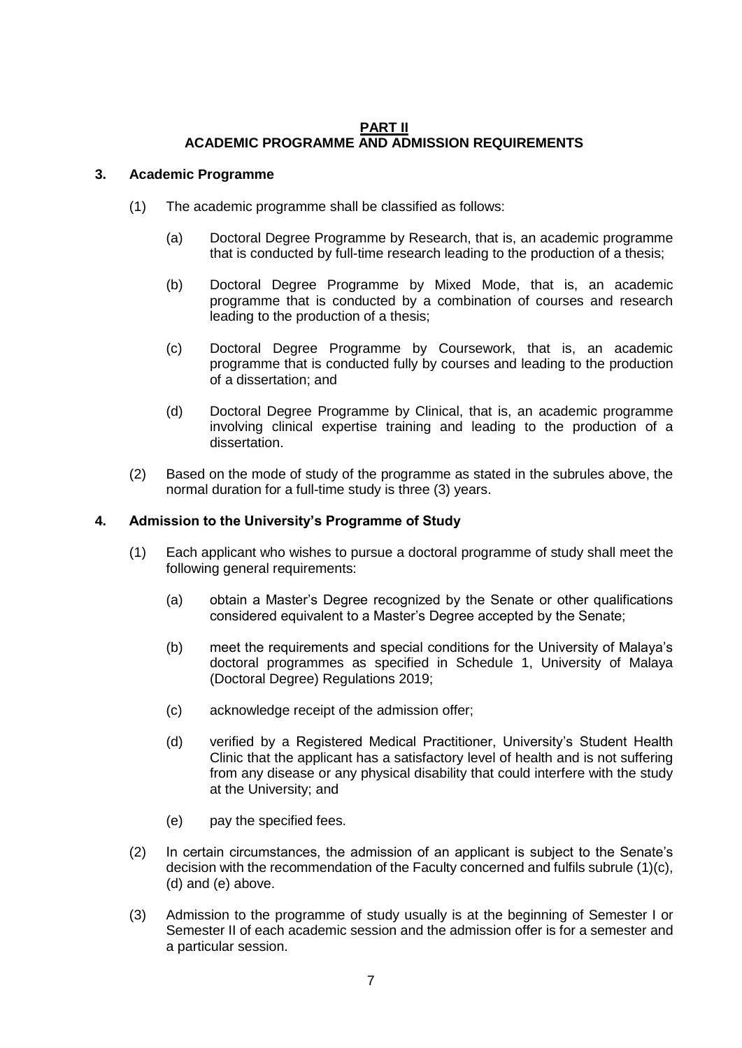# **PART II ACADEMIC PROGRAMME AND ADMISSION REQUIREMENTS**

### **3. Academic Programme**

- (1) The academic programme shall be classified as follows:
	- (a) Doctoral Degree Programme by Research, that is, an academic programme that is conducted by full-time research leading to the production of a thesis;
	- (b) Doctoral Degree Programme by Mixed Mode, that is, an academic programme that is conducted by a combination of courses and research leading to the production of a thesis;
	- (c) Doctoral Degree Programme by Coursework, that is, an academic programme that is conducted fully by courses and leading to the production of a dissertation; and
	- (d) Doctoral Degree Programme by Clinical, that is, an academic programme involving clinical expertise training and leading to the production of a dissertation.
- (2) Based on the mode of study of the programme as stated in the subrules above, the normal duration for a full-time study is three (3) years.

#### **4. Admission to the University's Programme of Study**

- (1) Each applicant who wishes to pursue a doctoral programme of study shall meet the following general requirements:
	- (a) obtain a Master's Degree recognized by the Senate or other qualifications considered equivalent to a Master's Degree accepted by the Senate;
	- (b) meet the requirements and special conditions for the University of Malaya's doctoral programmes as specified in Schedule 1, University of Malaya (Doctoral Degree) Regulations 2019;
	- (c) acknowledge receipt of the admission offer;
	- (d) verified by a Registered Medical Practitioner, University's Student Health Clinic that the applicant has a satisfactory level of health and is not suffering from any disease or any physical disability that could interfere with the study at the University; and
	- (e) pay the specified fees.
- (2) In certain circumstances, the admission of an applicant is subject to the Senate's decision with the recommendation of the Faculty concerned and fulfils subrule (1)(c), (d) and (e) above.
- (3) Admission to the programme of study usually is at the beginning of Semester I or Semester II of each academic session and the admission offer is for a semester and a particular session.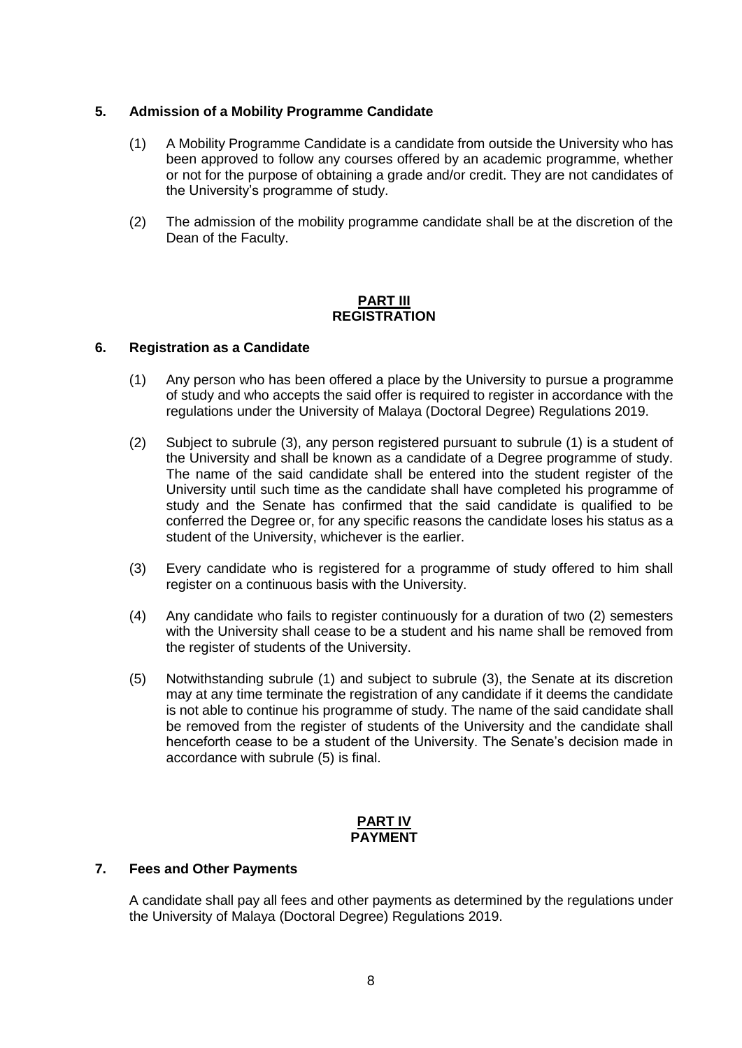# **5. Admission of a Mobility Programme Candidate**

- (1) A Mobility Programme Candidate is a candidate from outside the University who has been approved to follow any courses offered by an academic programme, whether or not for the purpose of obtaining a grade and/or credit. They are not candidates of the University's programme of study.
- (2) The admission of the mobility programme candidate shall be at the discretion of the Dean of the Faculty.

### **PART III REGISTRATION**

### **6. Registration as a Candidate**

- (1) Any person who has been offered a place by the University to pursue a programme of study and who accepts the said offer is required to register in accordance with the regulations under the University of Malaya (Doctoral Degree) Regulations 2019.
- (2) Subject to subrule (3), any person registered pursuant to subrule (1) is a student of the University and shall be known as a candidate of a Degree programme of study. The name of the said candidate shall be entered into the student register of the University until such time as the candidate shall have completed his programme of study and the Senate has confirmed that the said candidate is qualified to be conferred the Degree or, for any specific reasons the candidate loses his status as a student of the University, whichever is the earlier.
- (3) Every candidate who is registered for a programme of study offered to him shall register on a continuous basis with the University.
- (4) Any candidate who fails to register continuously for a duration of two (2) semesters with the University shall cease to be a student and his name shall be removed from the register of students of the University.
- (5) Notwithstanding subrule (1) and subject to subrule (3), the Senate at its discretion may at any time terminate the registration of any candidate if it deems the candidate is not able to continue his programme of study. The name of the said candidate shall be removed from the register of students of the University and the candidate shall henceforth cease to be a student of the University. The Senate's decision made in accordance with subrule (5) is final.

#### **PART IV PAYMENT**

### **7. Fees and Other Payments**

A candidate shall pay all fees and other payments as determined by the regulations under the University of Malaya (Doctoral Degree) Regulations 2019.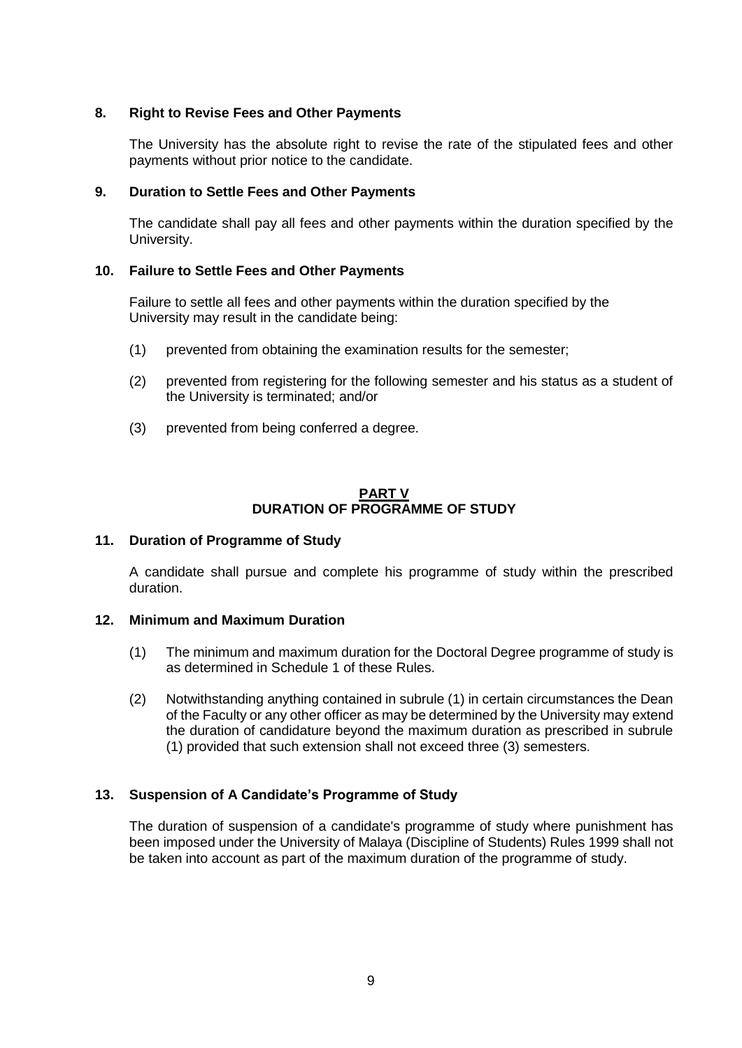### **8. Right to Revise Fees and Other Payments**

The University has the absolute right to revise the rate of the stipulated fees and other payments without prior notice to the candidate.

#### **9. Duration to Settle Fees and Other Payments**

The candidate shall pay all fees and other payments within the duration specified by the University.

### **10. Failure to Settle Fees and Other Payments**

Failure to settle all fees and other payments within the duration specified by the University may result in the candidate being:

- (1) prevented from obtaining the examination results for the semester;
- (2) prevented from registering for the following semester and his status as a student of the University is terminated; and/or
- (3) prevented from being conferred a degree.

### **PART V DURATION OF PROGRAMME OF STUDY**

#### **11. Duration of Programme of Study**

A candidate shall pursue and complete his programme of study within the prescribed duration.

#### **12. Minimum and Maximum Duration**

- (1) The minimum and maximum duration for the Doctoral Degree programme of study is as determined in Schedule 1 of these Rules.
- (2) Notwithstanding anything contained in subrule (1) in certain circumstances the Dean of the Faculty or any other officer as may be determined by the University may extend the duration of candidature beyond the maximum duration as prescribed in subrule (1) provided that such extension shall not exceed three (3) semesters.

### **13. Suspension of A Candidate's Programme of Study**

The duration of suspension of a candidate's programme of study where punishment has been imposed under the University of Malaya (Discipline of Students) Rules 1999 shall not be taken into account as part of the maximum duration of the programme of study.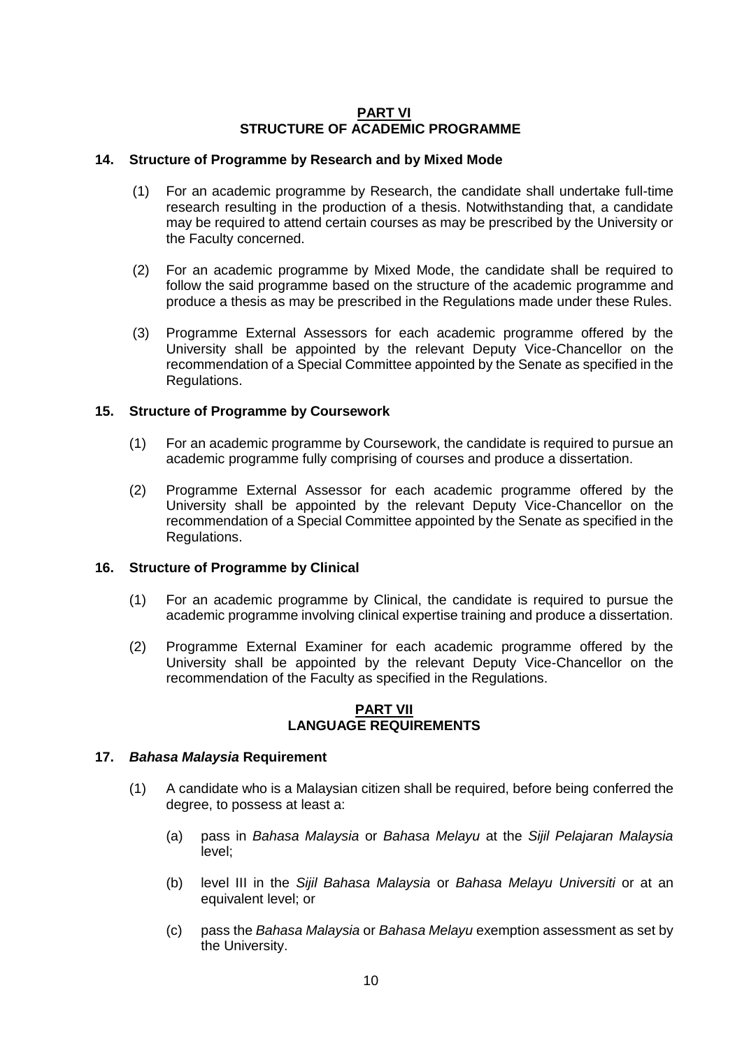### **PART VI STRUCTURE OF ACADEMIC PROGRAMME**

### **14. Structure of Programme by Research and by Mixed Mode**

- (1) For an academic programme by Research, the candidate shall undertake full-time research resulting in the production of a thesis. Notwithstanding that, a candidate may be required to attend certain courses as may be prescribed by the University or the Faculty concerned.
- (2) For an academic programme by Mixed Mode, the candidate shall be required to follow the said programme based on the structure of the academic programme and produce a thesis as may be prescribed in the Regulations made under these Rules.
- (3) Programme External Assessors for each academic programme offered by the University shall be appointed by the relevant Deputy Vice-Chancellor on the recommendation of a Special Committee appointed by the Senate as specified in the Regulations.

### **15. Structure of Programme by Coursework**

- (1) For an academic programme by Coursework, the candidate is required to pursue an academic programme fully comprising of courses and produce a dissertation.
- (2) Programme External Assessor for each academic programme offered by the University shall be appointed by the relevant Deputy Vice-Chancellor on the recommendation of a Special Committee appointed by the Senate as specified in the Regulations.

### **16. Structure of Programme by Clinical**

- (1) For an academic programme by Clinical, the candidate is required to pursue the academic programme involving clinical expertise training and produce a dissertation.
- (2) Programme External Examiner for each academic programme offered by the University shall be appointed by the relevant Deputy Vice-Chancellor on the recommendation of the Faculty as specified in the Regulations.

### **PART VII LANGUAGE REQUIREMENTS**

#### **17.** *Bahasa Malaysia* **Requirement**

- (1) A candidate who is a Malaysian citizen shall be required, before being conferred the degree, to possess at least a:
	- (a) pass in *Bahasa Malaysia* or *Bahasa Melayu* at the *Sijil Pelajaran Malaysia* level;
	- (b) level III in the *Sijil Bahasa Malaysia* or *Bahasa Melayu Universiti* or at an equivalent level; or
	- (c) pass the *Bahasa Malaysia* or *Bahasa Melayu* exemption assessment as set by the University.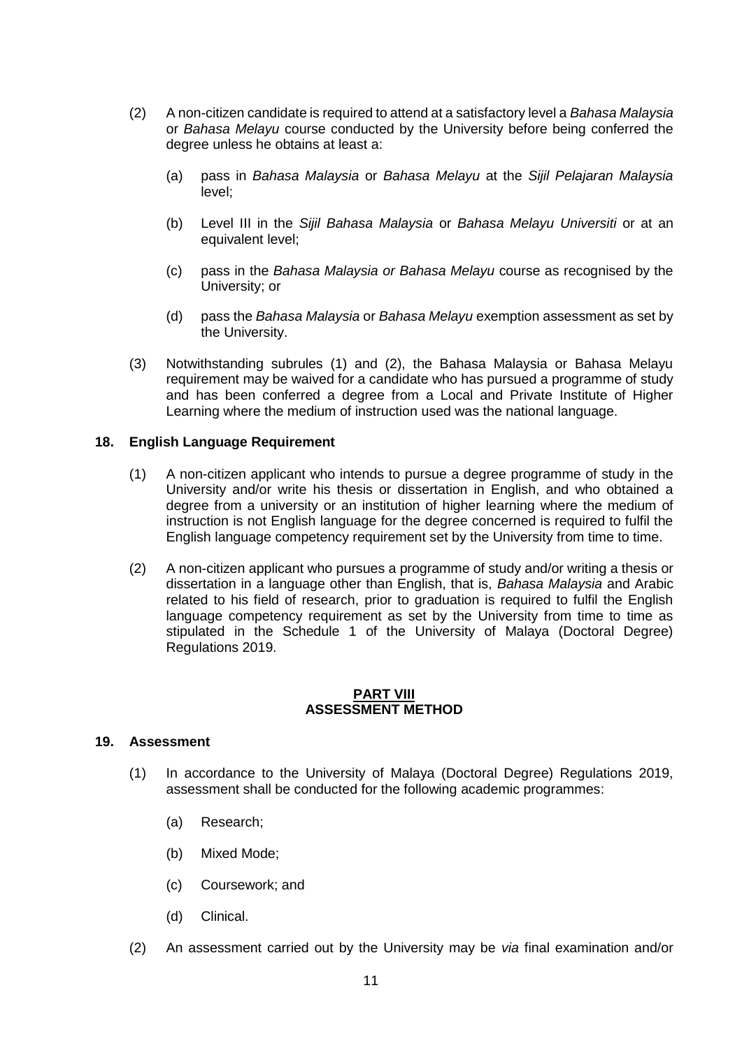- (2) A non-citizen candidate is required to attend at a satisfactory level a *Bahasa Malaysia*  or *Bahasa Melayu* course conducted by the University before being conferred the degree unless he obtains at least a:
	- (a) pass in *Bahasa Malaysia* or *Bahasa Melayu* at the *Sijil Pelajaran Malaysia* level;
	- (b) Level III in the *Sijil Bahasa Malaysia* or *Bahasa Melayu Universiti* or at an equivalent level;
	- (c) pass in the *Bahasa Malaysia or Bahasa Melayu* course as recognised by the University; or
	- (d) pass the *Bahasa Malaysia* or *Bahasa Melayu* exemption assessment as set by the University.
- (3) Notwithstanding subrules (1) and (2), the Bahasa Malaysia or Bahasa Melayu requirement may be waived for a candidate who has pursued a programme of study and has been conferred a degree from a Local and Private Institute of Higher Learning where the medium of instruction used was the national language.

#### **18. English Language Requirement**

- (1) A non-citizen applicant who intends to pursue a degree programme of study in the University and/or write his thesis or dissertation in English, and who obtained a degree from a university or an institution of higher learning where the medium of instruction is not English language for the degree concerned is required to fulfil the English language competency requirement set by the University from time to time.
- (2) A non-citizen applicant who pursues a programme of study and/or writing a thesis or dissertation in a language other than English, that is, *Bahasa Malaysia* and Arabic related to his field of research, prior to graduation is required to fulfil the English language competency requirement as set by the University from time to time as stipulated in the Schedule 1 of the University of Malaya (Doctoral Degree) Regulations 2019.

#### **PART VIII ASSESSMENT METHOD**

### **19. Assessment**

- (1) In accordance to the University of Malaya (Doctoral Degree) Regulations 2019, assessment shall be conducted for the following academic programmes:
	- (a) Research;
	- (b) Mixed Mode;
	- (c) Coursework; and
	- (d) Clinical.
- (2) An assessment carried out by the University may be *via* final examination and/or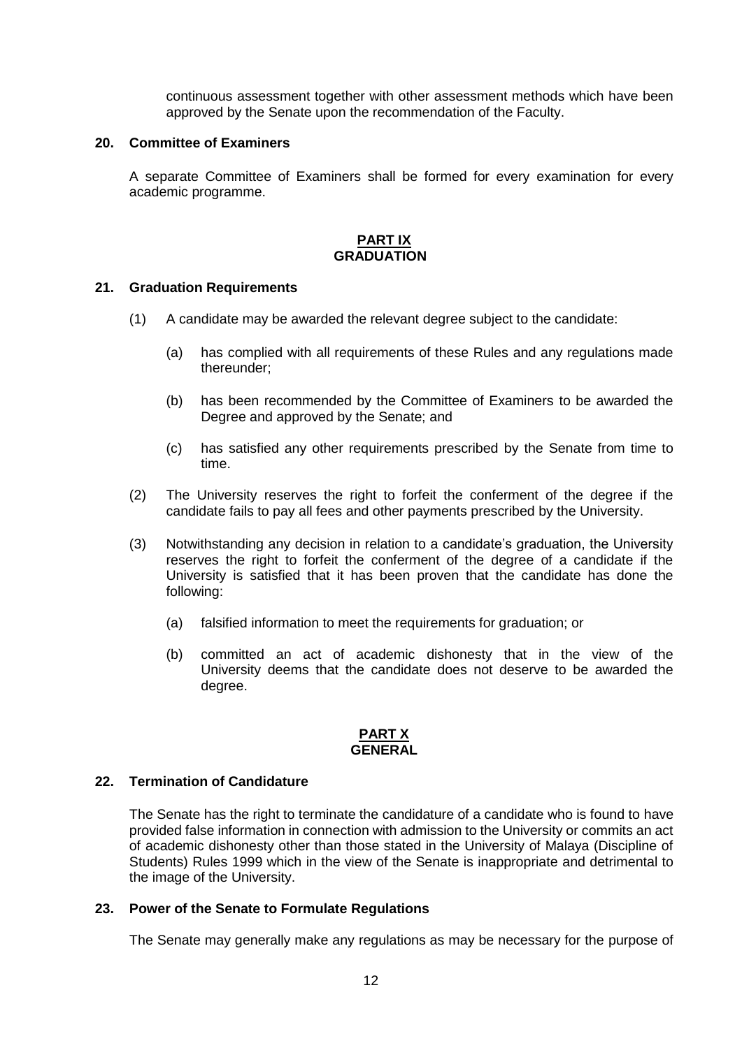continuous assessment together with other assessment methods which have been approved by the Senate upon the recommendation of the Faculty.

#### **20. Committee of Examiners**

A separate Committee of Examiners shall be formed for every examination for every academic programme.

# **PART IX GRADUATION**

### **21. Graduation Requirements**

- (1) A candidate may be awarded the relevant degree subject to the candidate:
	- (a) has complied with all requirements of these Rules and any regulations made thereunder;
	- (b) has been recommended by the Committee of Examiners to be awarded the Degree and approved by the Senate; and
	- (c) has satisfied any other requirements prescribed by the Senate from time to time.
- (2) The University reserves the right to forfeit the conferment of the degree if the candidate fails to pay all fees and other payments prescribed by the University.
- (3) Notwithstanding any decision in relation to a candidate's graduation, the University reserves the right to forfeit the conferment of the degree of a candidate if the University is satisfied that it has been proven that the candidate has done the following:
	- (a) falsified information to meet the requirements for graduation; or
	- (b) committed an act of academic dishonesty that in the view of the University deems that the candidate does not deserve to be awarded the degree.

#### **PART X GENERAL**

#### **22. Termination of Candidature**

The Senate has the right to terminate the candidature of a candidate who is found to have provided false information in connection with admission to the University or commits an act of academic dishonesty other than those stated in the University of Malaya (Discipline of Students) Rules 1999 which in the view of the Senate is inappropriate and detrimental to the image of the University.

#### **23. Power of the Senate to Formulate Regulations**

The Senate may generally make any regulations as may be necessary for the purpose of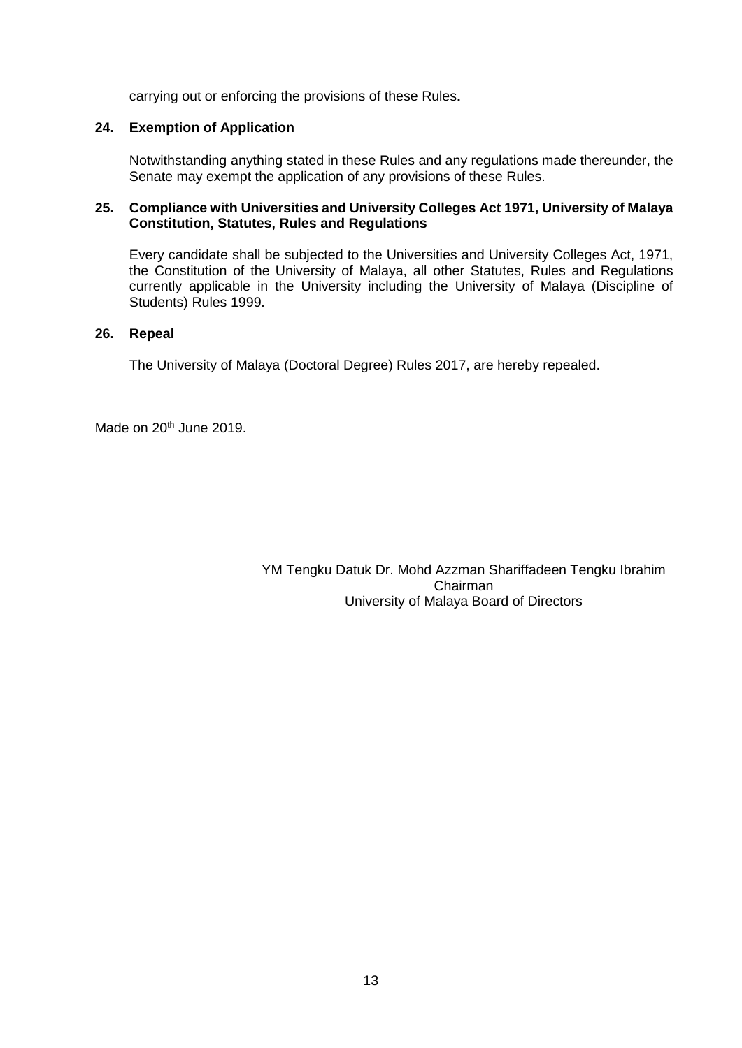carrying out or enforcing the provisions of these Rules**.**

### **24. Exemption of Application**

Notwithstanding anything stated in these Rules and any regulations made thereunder, the Senate may exempt the application of any provisions of these Rules.

### **25. Compliance with Universities and University Colleges Act 1971, University of Malaya Constitution, Statutes, Rules and Regulations**

Every candidate shall be subjected to the Universities and University Colleges Act, 1971, the Constitution of the University of Malaya, all other Statutes, Rules and Regulations currently applicable in the University including the University of Malaya (Discipline of Students) Rules 1999.

### **26. Repeal**

The University of Malaya (Doctoral Degree) Rules 2017, are hereby repealed.

Made on 20<sup>th</sup> June 2019.

YM Tengku Datuk Dr. Mohd Azzman Shariffadeen Tengku Ibrahim Chairman University of Malaya Board of Directors